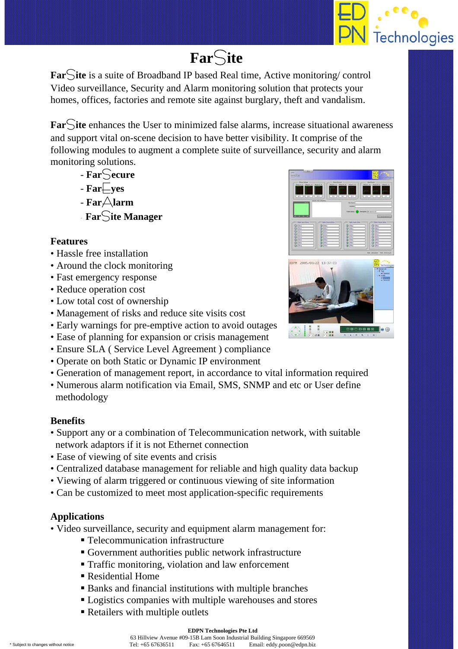

# **Far**S**ite**

**Far**S**ite** is a suite of Broadband IP based Real time, Active monitoring/ control Video surveillance, Security and Alarm monitoring solution that protects your homes, offices, factories and remote site against burglary, theft and vandalism.

**Far**S**ite** enhances the User to minimized false alarms, increase situational awareness and support vital on-scene decision to have better visibility. It comprise of the following modules to augment a complete suite of surveillance, security and alarm monitoring solutions.

- **Far**S**ecure**
- $-Far\_yes$
- $-Far\triangle$ **larm**
- **Far**S**ite Manager**

## **Features**

- Hassle free installation
- Around the clock monitoring
- Fast emergency response
- Reduce operation cost
- Low total cost of ownership
- Management of risks and reduce site visits cost
- Early warnings for pre-emptive action to avoid outages
- Ease of planning for expansion or crisis management
- Ensure SLA ( Service Level Agreement ) compliance
- Operate on both Static or Dynamic IP environment
- Generation of management report, in accordance to vital information required
- Numerous alarm notification via Email, SMS, SNMP and etc or User define methodology

## **Benefits**

- Support any or a combination of Telecommunication network, with suitable network adaptors if it is not Ethernet connection
- Ease of viewing of site events and crisis
- Centralized database management for reliable and high quality data backup
- Viewing of alarm triggered or continuous viewing of site information
- Can be customized to meet most application-specific requirements

## **Applications**

- Video surveillance, security and equipment alarm management for:
	- Telecommunication infrastructure
	- Government authorities public network infrastructure
	- **Traffic monitoring, violation and law enforcement**
	- Residential Home
	- Banks and financial institutions with multiple branches
	- Logistics companies with multiple warehouses and stores
	- Retailers with multiple outlets



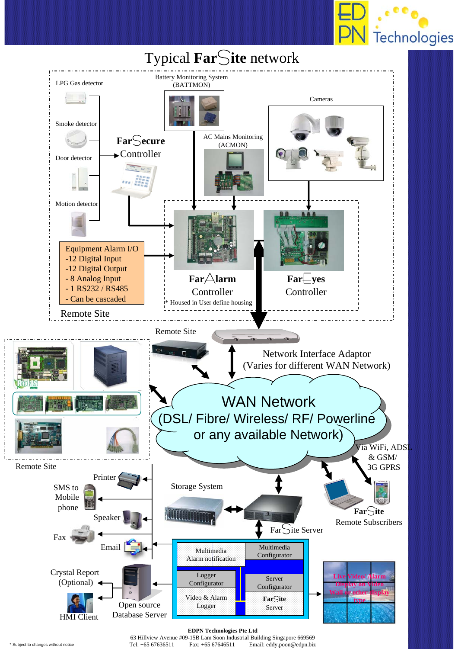



63 Hillview Avenue #09-15B Lam Soon Industrial Building Singapore 669569 \* Subject to changes without notice Tel: +65 67636511 Fax: +65 67646511 Email: eddy.poon@edpn.biz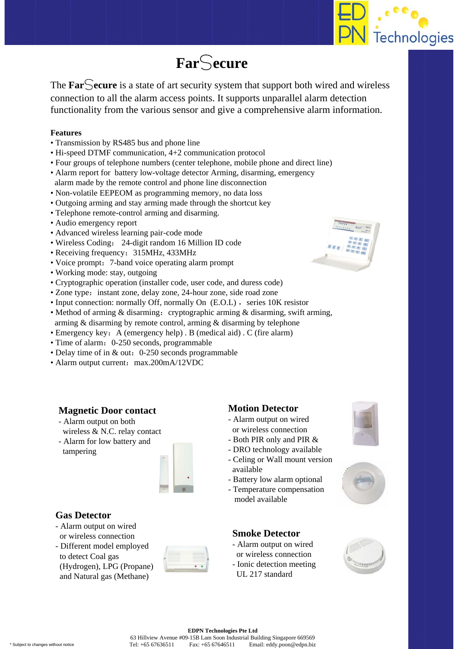

# **Far**S**ecure**

The **Far**S**ecure** is a state of art security system that support both wired and wireless connection to all the alarm access points. It supports unparallel alarm detection functionality from the various sensor and give a comprehensive alarm information.

#### **Features**

- Transmission by RS485 bus and phone line
- Hi-speed DTMF communication, 4+2 communication protocol
- Four groups of telephone numbers (center telephone, mobile phone and direct line)
- Alarm report for battery low-voltage detector Arming, disarming, emergency alarm made by the remote control and phone line disconnection
- Non-volatile EEPEOM as programming memory, no data loss
- Outgoing arming and stay arming made through the shortcut key
- Telephone remote-control arming and disarming.
- Audio emergency report
- Advanced wireless learning pair-code mode
- Wireless Coding: 24-digit random 16 Million ID code
- Receiving frequency: 315MHz, 433MHz
- Voice prompt: 7-band voice operating alarm prompt
- Working mode: stay, outgoing
- Cryptographic operation (installer code, user code, and duress code)
- Zone type: instant zone, delay zone, 24-hour zone, side road zone
- Input connection: normally Off, normally On  $(E.O.L)$ , series 10K resistor
- Method of arming & disarming: cryptographic arming & disarming, swift arming, arming & disarming by remote control, arming & disarming by telephone
- Emergency key: A (emergency help) . B (medical aid) . C (fire alarm)
- Time of alarm: 0-250 seconds, programmable
- Delay time of in & out: 0-250 seconds programmable
- Alarm output current: max.200mA/12VDC

## **Magnetic Door contact**

- Alarm output on both wireless & N.C. relay contact
- Alarm for low battery and tampering



### **Gas Detector**

- Alarm output on wired or wireless connection
- Different model employed to detect Coal gas (Hydrogen), LPG (Propane) and Natural gas (Methane)



## **Motion Detector**

- Alarm output on wired or wireless connection
- Both PIR only and PIR &
- DRO technology available
- Celing or Wall mount version available
- Battery low alarm optional
- Temperature compensation model available

### **Smoke Detector**

- Alarm output on wired
- or wireless connection - Ionic detection meeting
- UL 217 standard







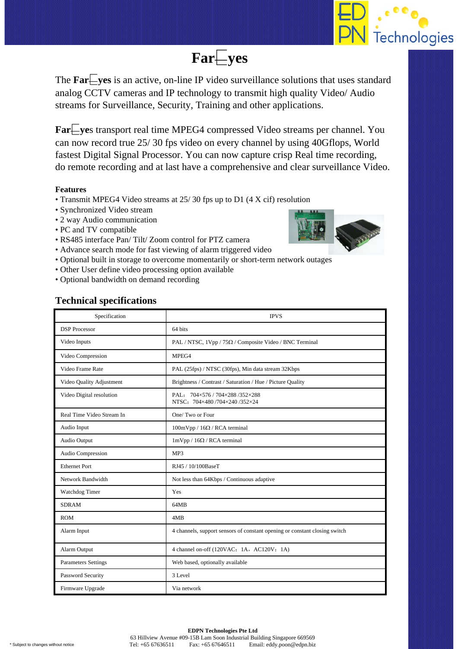

## **Far**E**yes**

The  $FarEves$  is an active, on-line IP video surveillance solutions that uses standard analog CCTV cameras and IP technology to transmit high quality Video/ Audio streams for Surveillance, Security, Training and other applications.

**Far**Eves transport real time MPEG4 compressed Video streams per channel. You can now record true 25/ 30 fps video on every channel by using 40Gflops, World fastest Digital Signal Processor. You can now capture crisp Real time recording, do remote recording and at last have a comprehensive and clear surveillance Video.

#### **Features**

- Transmit MPEG4 Video streams at 25/ 30 fps up to D1 (4 X cif) resolution
- Synchronized Video stream
- 2 way Audio communication
- PC and TV compatible
- RS485 interface Pan/ Tilt/ Zoom control for PTZ camera
- Advance search mode for fast viewing of alarm triggered video
- Optional built in storage to overcome momentarily or short-term network outages
- Other User define video processing option available
- Optional bandwidth on demand recording

### **Technical specifications**



| Specification              | <b>IPVS</b>                                                                |
|----------------------------|----------------------------------------------------------------------------|
| <b>DSP</b> Processor       | 64 bits                                                                    |
| Video Inputs               | PAL / NTSC, $1Vpp / 75\Omega$ / Composite Video / BNC Terminal             |
| Video Compression          | MPEG4                                                                      |
| Video Frame Rate           | PAL (25fps) / NTSC (30fps), Min data stream 32Kbps                         |
| Video Quality Adjustment   | Brightness / Contrast / Saturation / Hue / Picture Quality                 |
| Video Digital resolution   | PAL: 704×576 / 704×288 /352×288<br>NTSC: 704×480/704×240/352×24            |
| Real Time Video Stream In  | One/Two or Four                                                            |
| Audio Input                | $100mVpp / 16\Omega / RCA$ terminal                                        |
| Audio Output               | $1\text{mVpp}$ / $16\Omega$ / RCA terminal                                 |
| Audio Compression          | MP3                                                                        |
| <b>Ethernet Port</b>       | RJ45 / 10/100BaseT                                                         |
| Network Bandwidth          | Not less than 64Kbps / Continuous adaptive                                 |
| Watchdog Timer             | Yes                                                                        |
| <b>SDRAM</b>               | 64MB                                                                       |
| <b>ROM</b>                 | 4MB                                                                        |
| Alarm Input                | 4 channels, support sensors of constant opening or constant closing switch |
| Alarm Output               | 4 channel on-off (120VAC: 1A, AC120V: 1A)                                  |
| <b>Parameters Settings</b> | Web based, optionally available                                            |
| Password Security          | 3 Level                                                                    |
| Firmware Upgrade           | Via network                                                                |

63 Hillview Avenue #09-15B Lam Soon Industrial Building Singapore 669569 \* Subject to changes without notice Tel: +65 67636511 Fax: +65 67646511 Email: eddy.poon@edpn.biz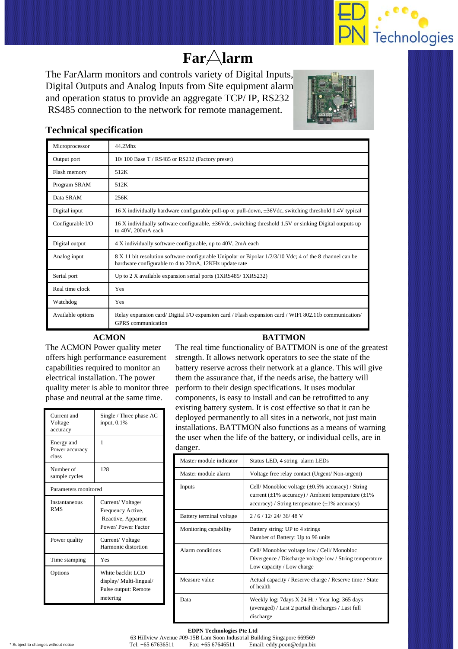

# **Far**A**larm**

The FarAlarm monitors and controls variety of Digital Inputs, Digital Outputs and Analog Inputs from Site equipment alarm and operation status to provide an aggregate TCP/ IP, RS232 RS485 connection to the network for remote management.



## **Technical specification**

| Microprocessor    | 44.2Mhz                                                                                                                                                            |
|-------------------|--------------------------------------------------------------------------------------------------------------------------------------------------------------------|
| Output port       | $10/100$ Base T / RS485 or RS232 (Factory preset)                                                                                                                  |
| Flash memory      | 512K                                                                                                                                                               |
| Program SRAM      | 512K                                                                                                                                                               |
| Data SRAM         | 256K                                                                                                                                                               |
| Digital input     | 16 X individually hardware configurable pull-up or pull-down, $\pm 36$ Vdc, switching threshold 1.4V typical                                                       |
| Configurable I/O  | 16 X individually software configurable, $\pm 36$ Vdc, switching threshold 1.5V or sinking Digital outputs up<br>to 40V, 200mA each                                |
| Digital output    | 4 X individually software configurable, up to 40V, 2mA each                                                                                                        |
| Analog input      | 8 X 11 bit resolution software configurable Unipolar or Bipolar $1/2/3/10$ Vdc; 4 of the 8 channel can be<br>hardware configurable to 4 to 20mA, 12KHz update rate |
| Serial port       | Up to 2 X available expansion serial ports (1XRS485/1XRS232)                                                                                                       |
| Real time clock   | Yes                                                                                                                                                                |
| Watchdog          | Yes                                                                                                                                                                |
| Available options | Relay expansion card/Digital I/O expansion card / Flash expansion card / WIFI 802.11b communication/<br>GPRS communication                                         |

### **ACMON**

The ACMON Power quality meter offers high performance easurement capabilities required to monitor an electrical installation. The power quality meter is able to monitor three phase and neutral at the same time.

| Current and<br>Voltage<br>accuracy    | Single / Three phase AC<br>input, $0.1\%$                                         |  |
|---------------------------------------|-----------------------------------------------------------------------------------|--|
| Energy and<br>Power accuracy<br>class | 1                                                                                 |  |
| Number of<br>sample cycles            | 128                                                                               |  |
| Parameters monitored                  |                                                                                   |  |
| Instantaneous<br><b>RMS</b>           | Current/Voltage/<br>Frequency Active,<br>Reactive, Apparent<br>Power/Power Factor |  |
| Power quality                         | Current/Voltage<br>Harmonic distortion                                            |  |
| Time stamping                         | Yes                                                                               |  |
| Options                               | White backlit LCD<br>display/ Multi-lingual/<br>Pulse output: Remote<br>metering  |  |

## **BATTMON**

The real time functionality of BATTMON is one of the greatest strength. It allows network operators to see the state of the battery reserve across their network at a glance. This will give them the assurance that, if the needs arise, the battery will perform to their design specifications. It uses modular components, is easy to install and can be retrofitted to any existing battery system. It is cost effective so that it can be deployed permanently to all sites in a network, not just main installations. BATTMON also functions as a means of warning the user when the life of the battery, or individual cells, are in danger.

| Master module indicator  | Status LED, 4 string alarm LEDs                                                                                                                                                        |
|--------------------------|----------------------------------------------------------------------------------------------------------------------------------------------------------------------------------------|
| Master module alarm      | Voltage free relay contact (Urgent/Non-urgent)                                                                                                                                         |
| Inputs                   | Cell/Monobloc voltage $(\pm 0.5\% \text{ accuracy})$ /String<br>current $(\pm 1\%$ accuracy) / Ambient temperature $(\pm 1\%$<br>$accuracy)$ / String temperature ( $\pm$ 1% accuracy) |
| Battery terminal voltage | $2/6/12/24/36/48$ V                                                                                                                                                                    |
| Monitoring capability    | Battery string: UP to 4 strings<br>Number of Battery: Up to 96 units                                                                                                                   |
| Alarm conditions         | Cell/Monobloc voltage low / Cell/Monobloc<br>Divergence / Discharge voltage low / String temperature<br>Low capacity / Low charge                                                      |
| Measure value            | Actual capacity / Reserve charge / Reserve time / State<br>of health                                                                                                                   |
| Data                     | Weekly log: 7days X 24 Hr / Year log: 365 days<br>(averaged) / Last 2 partial discharges / Last full<br>discharge                                                                      |

**EDPN Technologies Pte Ltd** 63 Hillview Avenue #09-15B Lam Soon Industrial Building Singapore 669569